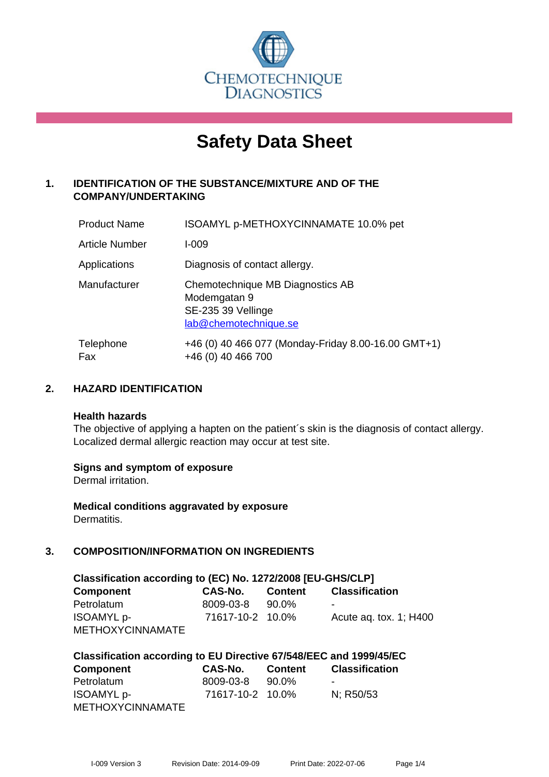

# **Safety Data Sheet**

# **1. IDENTIFICATION OF THE SUBSTANCE/MIXTURE AND OF THE COMPANY/UNDERTAKING**

| <b>Product Name</b>   | ISOAMYL p-METHOXYCINNAMATE 10.0% pet                                                            |
|-----------------------|-------------------------------------------------------------------------------------------------|
| <b>Article Number</b> | $I - 009$                                                                                       |
| Applications          | Diagnosis of contact allergy.                                                                   |
| Manufacturer          | Chemotechnique MB Diagnostics AB<br>Modemgatan 9<br>SE-235 39 Vellinge<br>lab@chemotechnique.se |
| Telephone<br>Fax      | +46 (0) 40 466 077 (Monday-Friday 8.00-16.00 GMT+1)<br>+46 (0) 40 466 700                       |

# **2. HAZARD IDENTIFICATION**

#### **Health hazards**

The objective of applying a hapten on the patient's skin is the diagnosis of contact allergy. Localized dermal allergic reaction may occur at test site.

## **Signs and symptom of exposure**

Dermal irritation.

**Medical conditions aggravated by exposure** Dermatitis.

# **3. COMPOSITION/INFORMATION ON INGREDIENTS**

| Classification according to (EC) No. 1272/2008 [EU-GHS/CLP] |                  |         |                           |  |  |  |
|-------------------------------------------------------------|------------------|---------|---------------------------|--|--|--|
| <b>Component</b>                                            | <b>CAS-No.</b>   | Content | <b>Classification</b>     |  |  |  |
| Petrolatum                                                  | 8009-03-8        | 90.0%   | $\sim$                    |  |  |  |
| <b>ISOAMYL</b> p-                                           | 71617-10-2 10.0% |         | Acute ag. tox. $1$ ; H400 |  |  |  |
| <b>METHOXYCINNAMATE</b>                                     |                  |         |                           |  |  |  |

| Classification according to EU Directive 67/548/EEC and 1999/45/EC |                  |                |                       |  |  |
|--------------------------------------------------------------------|------------------|----------------|-----------------------|--|--|
| Component                                                          | CAS-No.          | <b>Content</b> | <b>Classification</b> |  |  |
| Petrolatum                                                         | 8009-03-8        | 90.0%          |                       |  |  |
| <b>ISOAMYL</b> p-                                                  | 71617-10-2 10.0% |                | N: R50/53             |  |  |
| <b>METHOXYCINNAMATE</b>                                            |                  |                |                       |  |  |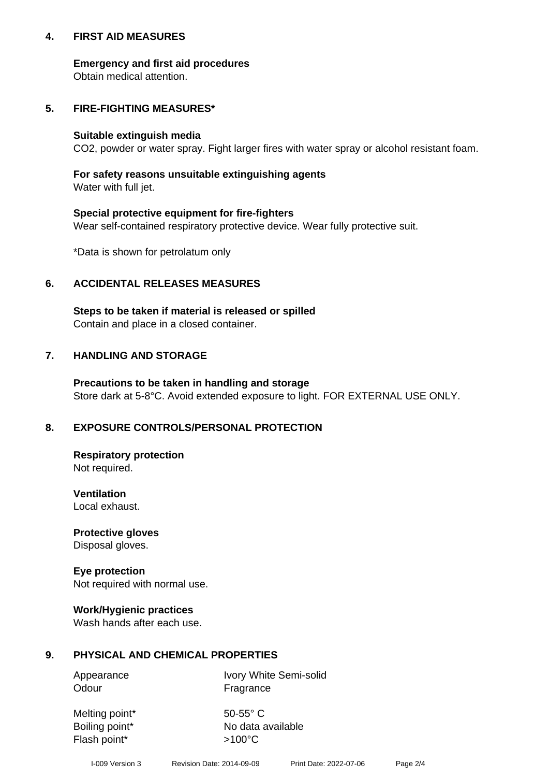## **4. FIRST AID MEASURES**

## **Emergency and first aid procedures**

Obtain medical attention.

# **5. FIRE-FIGHTING MEASURES\***

#### **Suitable extinguish media**

CO2, powder or water spray. Fight larger fires with water spray or alcohol resistant foam.

# **For safety reasons unsuitable extinguishing agents**

Water with full jet.

## **Special protective equipment for fire-fighters**

Wear self-contained respiratory protective device. Wear fully protective suit.

\*Data is shown for petrolatum only

## **6. ACCIDENTAL RELEASES MEASURES**

**Steps to be taken if material is released or spilled** Contain and place in a closed container.

# **7. HANDLING AND STORAGE**

**Precautions to be taken in handling and storage** Store dark at 5-8°C. Avoid extended exposure to light. FOR EXTERNAL USE ONLY.

# **8. EXPOSURE CONTROLS/PERSONAL PROTECTION**

**Respiratory protection** Not required.

**Ventilation** Local exhaust.

**Protective gloves** Disposal gloves.

#### **Eye protection** Not required with normal use.

## **Work/Hygienic practices**

Wash hands after each use.

## **9. PHYSICAL AND CHEMICAL PROPERTIES**

Odour Fragrance

Appearance Ivory White Semi-solid

Melting point\* 50-55° C Flash point\* >100°C

Boiling point\* No data available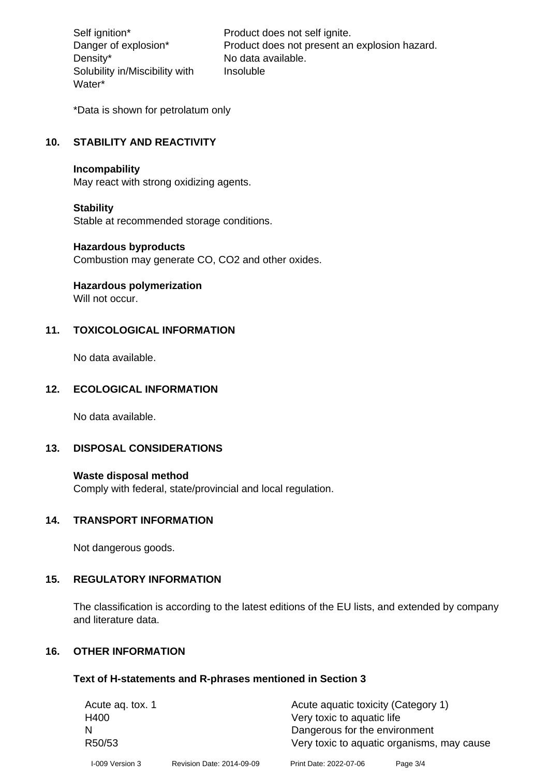Density\* No data available. Solubility in/Miscibility with Water\*

Self ignition\* Product does not self ignite. Danger of explosion\* Product does not present an explosion hazard. Insoluble

\*Data is shown for petrolatum only

# **10. STABILITY AND REACTIVITY**

#### **Incompability**

May react with strong oxidizing agents.

#### **Stability**

Stable at recommended storage conditions.

#### **Hazardous byproducts**

Combustion may generate CO, CO2 and other oxides.

**Hazardous polymerization**

Will not occur.

## **11. TOXICOLOGICAL INFORMATION**

No data available.

#### **12. ECOLOGICAL INFORMATION**

No data available.

## **13. DISPOSAL CONSIDERATIONS**

#### **Waste disposal method**

Comply with federal, state/provincial and local regulation.

#### **14. TRANSPORT INFORMATION**

Not dangerous goods.

## **15. REGULATORY INFORMATION**

The classification is according to the latest editions of the EU lists, and extended by company and literature data.

#### **16. OTHER INFORMATION**

#### **Text of H-statements and R-phrases mentioned in Section 3**

| Acute ag. tox. 1 |                           | Acute aquatic toxicity (Category 1)                                         |            |  |
|------------------|---------------------------|-----------------------------------------------------------------------------|------------|--|
| H400             |                           | Very toxic to aquatic life                                                  |            |  |
| R50/53           |                           | Dangerous for the environment<br>Very toxic to aquatic organisms, may cause |            |  |
| I-009 Version 3  | Revision Date: 2014-09-09 | Print Date: 2022-07-06                                                      | Page $3/4$ |  |